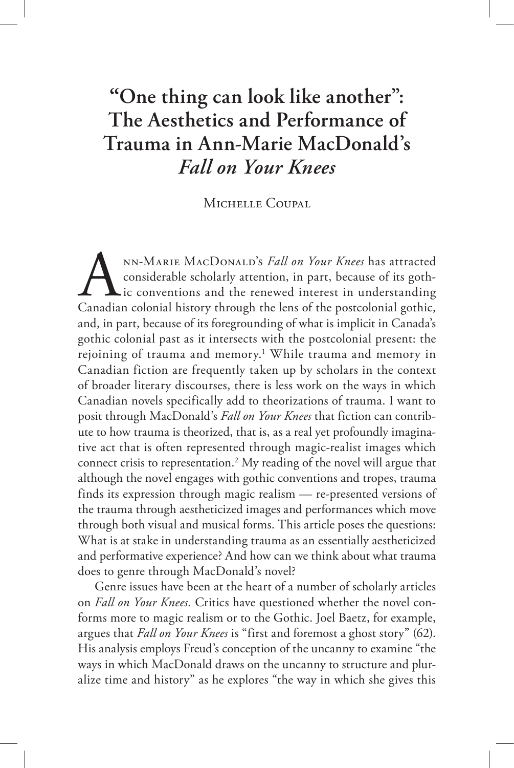# **"One thing can look like another": The Aesthetics and Performance of Trauma in Ann-Marie MacDonald's**  *Fall on Your Knees*

Michelle Coupal

NN-MARIE MACDONALD's *Fall on Your Knees* has attracted considerable scholarly attention, in part, because of its gothic, canadian colonial history through the lens of the postcolonial gothic, nn-Marie MacDonald's *Fall on Your Knees* has attracted considerable scholarly attention, in part, because of its gothic conventions and the renewed interest in understanding and, in part, because of its foregrounding of what is implicit in Canada's gothic colonial past as it intersects with the postcolonial present: the rejoining of trauma and memory.<sup>1</sup> While trauma and memory in Canadian fiction are frequently taken up by scholars in the context of broader literary discourses, there is less work on the ways in which Canadian novels specifically add to theorizations of trauma. I want to posit through MacDonald's *Fall on Your Knees* that fiction can contribute to how trauma is theorized, that is, as a real yet profoundly imaginative act that is often represented through magic-realist images which connect crisis to representation.2 My reading of the novel will argue that although the novel engages with gothic conventions and tropes, trauma finds its expression through magic realism — re-presented versions of the trauma through aestheticized images and performances which move through both visual and musical forms. This article poses the questions: What is at stake in understanding trauma as an essentially aestheticized and performative experience? And how can we think about what trauma does to genre through MacDonald's novel?

Genre issues have been at the heart of a number of scholarly articles on *Fall on Your Knees.* Critics have questioned whether the novel conforms more to magic realism or to the Gothic. Joel Baetz, for example, argues that *Fall on Your Knees* is "first and foremost a ghost story" (62). His analysis employs Freud's conception of the uncanny to examine "the ways in which MacDonald draws on the uncanny to structure and pluralize time and history" as he explores "the way in which she gives this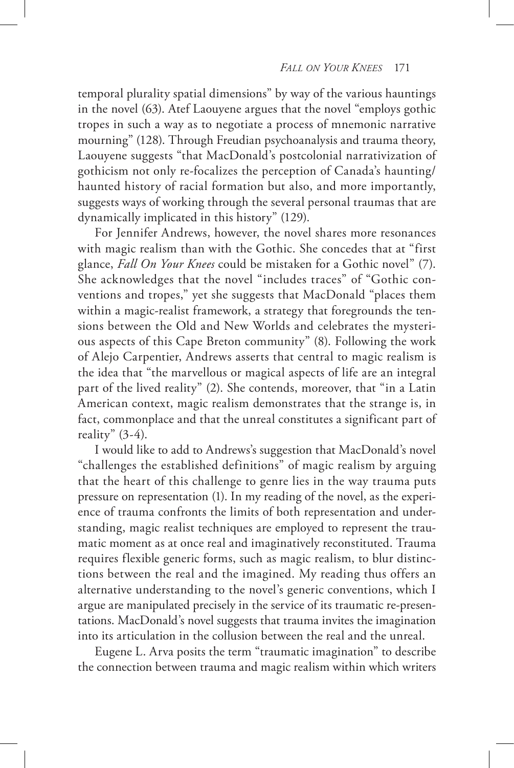temporal plurality spatial dimensions" by way of the various hauntings in the novel (63). Atef Laouyene argues that the novel "employs gothic tropes in such a way as to negotiate a process of mnemonic narrative mourning" (128). Through Freudian psychoanalysis and trauma theory, Laouyene suggests "that MacDonald's postcolonial narrativization of gothicism not only re-focalizes the perception of Canada's haunting/ haunted history of racial formation but also, and more importantly, suggests ways of working through the several personal traumas that are dynamically implicated in this history" (129).

For Jennifer Andrews, however, the novel shares more resonances with magic realism than with the Gothic. She concedes that at "first glance, *Fall On Your Knees* could be mistaken for a Gothic novel" (7). She acknowledges that the novel "includes traces" of "Gothic conventions and tropes," yet she suggests that MacDonald "places them within a magic-realist framework, a strategy that foregrounds the tensions between the Old and New Worlds and celebrates the mysterious aspects of this Cape Breton community" (8). Following the work of Alejo Carpentier, Andrews asserts that central to magic realism is the idea that "the marvellous or magical aspects of life are an integral part of the lived reality" (2). She contends, moreover, that "in a Latin American context, magic realism demonstrates that the strange is, in fact, commonplace and that the unreal constitutes a significant part of reality"  $(3-4)$ .

I would like to add to Andrews's suggestion that MacDonald's novel "challenges the established definitions" of magic realism by arguing that the heart of this challenge to genre lies in the way trauma puts pressure on representation (1). In my reading of the novel, as the experience of trauma confronts the limits of both representation and understanding, magic realist techniques are employed to represent the traumatic moment as at once real and imaginatively reconstituted. Trauma requires flexible generic forms, such as magic realism, to blur distinctions between the real and the imagined. My reading thus offers an alternative understanding to the novel's generic conventions, which I argue are manipulated precisely in the service of its traumatic re-presentations. MacDonald's novel suggests that trauma invites the imagination into its articulation in the collusion between the real and the unreal.

Eugene L. Arva posits the term "traumatic imagination" to describe the connection between trauma and magic realism within which writers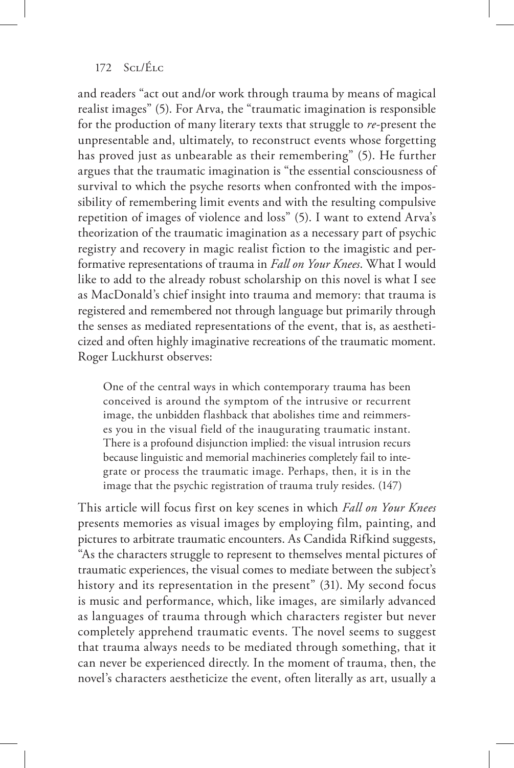and readers "act out and/or work through trauma by means of magical realist images" (5). For Arva, the "traumatic imagination is responsible for the production of many literary texts that struggle to *re*-present the unpresentable and, ultimately, to reconstruct events whose forgetting has proved just as unbearable as their remembering" (5). He further argues that the traumatic imagination is "the essential consciousness of survival to which the psyche resorts when confronted with the impossibility of remembering limit events and with the resulting compulsive repetition of images of violence and loss" (5). I want to extend Arva's theorization of the traumatic imagination as a necessary part of psychic registry and recovery in magic realist fiction to the imagistic and performative representations of trauma in *Fall on Your Knees*. What I would like to add to the already robust scholarship on this novel is what I see as MacDonald's chief insight into trauma and memory: that trauma is registered and remembered not through language but primarily through the senses as mediated representations of the event, that is, as aestheticized and often highly imaginative recreations of the traumatic moment. Roger Luckhurst observes:

One of the central ways in which contemporary trauma has been conceived is around the symptom of the intrusive or recurrent image, the unbidden flashback that abolishes time and reimmerses you in the visual field of the inaugurating traumatic instant. There is a profound disjunction implied: the visual intrusion recurs because linguistic and memorial machineries completely fail to integrate or process the traumatic image. Perhaps, then, it is in the image that the psychic registration of trauma truly resides. (147)

This article will focus first on key scenes in which *Fall on Your Knees*  presents memories as visual images by employing film, painting, and pictures to arbitrate traumatic encounters. As Candida Rifkind suggests, "As the characters struggle to represent to themselves mental pictures of traumatic experiences, the visual comes to mediate between the subject's history and its representation in the present" (31). My second focus is music and performance, which, like images, are similarly advanced as languages of trauma through which characters register but never completely apprehend traumatic events. The novel seems to suggest that trauma always needs to be mediated through something, that it can never be experienced directly. In the moment of trauma, then, the novel's characters aestheticize the event, often literally as art, usually a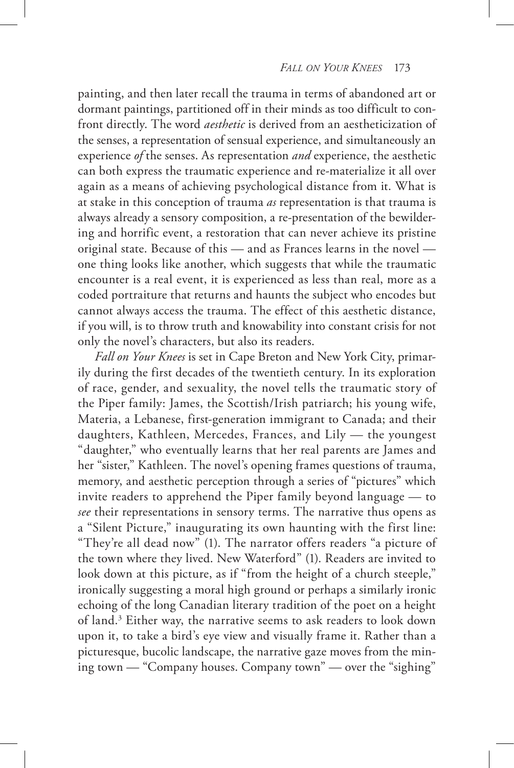#### *Fall on Your Knees* 173

painting, and then later recall the trauma in terms of abandoned art or dormant paintings, partitioned off in their minds as too difficult to confront directly. The word *aesthetic* is derived from an aestheticization of the senses, a representation of sensual experience, and simultaneously an experience *of* the senses. As representation *and* experience, the aesthetic can both express the traumatic experience and re-materialize it all over again as a means of achieving psychological distance from it. What is at stake in this conception of trauma *as* representation is that trauma is always already a sensory composition, a re-presentation of the bewildering and horrific event, a restoration that can never achieve its pristine original state. Because of this — and as Frances learns in the novel one thing looks like another, which suggests that while the traumatic encounter is a real event, it is experienced as less than real, more as a coded portraiture that returns and haunts the subject who encodes but cannot always access the trauma. The effect of this aesthetic distance, if you will, is to throw truth and knowability into constant crisis for not only the novel's characters, but also its readers.

*Fall on Your Knees* is set in Cape Breton and New York City, primarily during the first decades of the twentieth century. In its exploration of race, gender, and sexuality, the novel tells the traumatic story of the Piper family: James, the Scottish/Irish patriarch; his young wife, Materia, a Lebanese, first-generation immigrant to Canada; and their daughters, Kathleen, Mercedes, Frances, and Lily — the youngest "daughter," who eventually learns that her real parents are James and her "sister," Kathleen. The novel's opening frames questions of trauma, memory, and aesthetic perception through a series of "pictures" which invite readers to apprehend the Piper family beyond language — to *see* their representations in sensory terms. The narrative thus opens as a "Silent Picture," inaugurating its own haunting with the first line: "They're all dead now" (1). The narrator offers readers "a picture of the town where they lived. New Waterford" (1). Readers are invited to look down at this picture, as if "from the height of a church steeple," ironically suggesting a moral high ground or perhaps a similarly ironic echoing of the long Canadian literary tradition of the poet on a height of land.3 Either way, the narrative seems to ask readers to look down upon it, to take a bird's eye view and visually frame it. Rather than a picturesque, bucolic landscape, the narrative gaze moves from the mining town — "Company houses. Company town" — over the "sighing"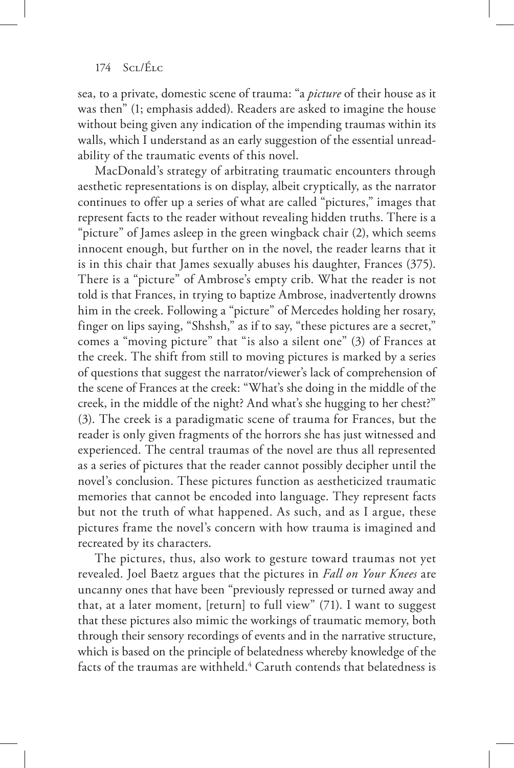sea, to a private, domestic scene of trauma: "a *picture* of their house as it was then" (1; emphasis added). Readers are asked to imagine the house without being given any indication of the impending traumas within its walls, which I understand as an early suggestion of the essential unreadability of the traumatic events of this novel.

MacDonald's strategy of arbitrating traumatic encounters through aesthetic representations is on display, albeit cryptically, as the narrator continues to offer up a series of what are called "pictures," images that represent facts to the reader without revealing hidden truths. There is a "picture" of James asleep in the green wingback chair (2), which seems innocent enough, but further on in the novel, the reader learns that it is in this chair that James sexually abuses his daughter, Frances (375). There is a "picture" of Ambrose's empty crib. What the reader is not told is that Frances, in trying to baptize Ambrose, inadvertently drowns him in the creek. Following a "picture" of Mercedes holding her rosary, finger on lips saying, "Shshsh," as if to say, "these pictures are a secret," comes a "moving picture" that "is also a silent one" (3) of Frances at the creek. The shift from still to moving pictures is marked by a series of questions that suggest the narrator/viewer's lack of comprehension of the scene of Frances at the creek: "What's she doing in the middle of the creek, in the middle of the night? And what's she hugging to her chest?" (3). The creek is a paradigmatic scene of trauma for Frances, but the reader is only given fragments of the horrors she has just witnessed and experienced. The central traumas of the novel are thus all represented as a series of pictures that the reader cannot possibly decipher until the novel's conclusion. These pictures function as aestheticized traumatic memories that cannot be encoded into language. They represent facts but not the truth of what happened. As such, and as I argue, these pictures frame the novel's concern with how trauma is imagined and recreated by its characters.

The pictures, thus, also work to gesture toward traumas not yet revealed. Joel Baetz argues that the pictures in *Fall on Your Knees* are uncanny ones that have been "previously repressed or turned away and that, at a later moment, [return] to full view" (71). I want to suggest that these pictures also mimic the workings of traumatic memory, both through their sensory recordings of events and in the narrative structure, which is based on the principle of belatedness whereby knowledge of the facts of the traumas are withheld.<sup>4</sup> Caruth contends that belatedness is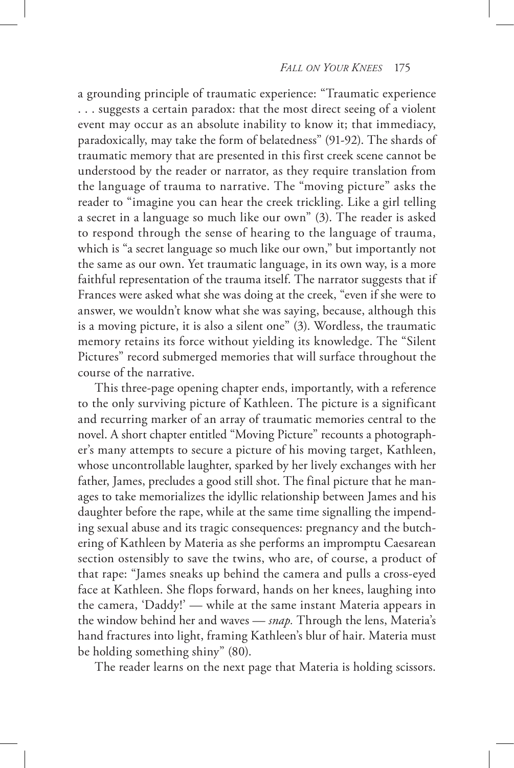a grounding principle of traumatic experience: "Traumatic experience . . . suggests a certain paradox: that the most direct seeing of a violent event may occur as an absolute inability to know it; that immediacy, paradoxically, may take the form of belatedness" (91-92). The shards of traumatic memory that are presented in this first creek scene cannot be understood by the reader or narrator, as they require translation from the language of trauma to narrative. The "moving picture" asks the reader to "imagine you can hear the creek trickling. Like a girl telling a secret in a language so much like our own" (3). The reader is asked to respond through the sense of hearing to the language of trauma, which is "a secret language so much like our own," but importantly not the same as our own. Yet traumatic language, in its own way, is a more faithful representation of the trauma itself. The narrator suggests that if Frances were asked what she was doing at the creek, "even if she were to answer, we wouldn't know what she was saying, because, although this is a moving picture, it is also a silent one" (3). Wordless, the traumatic memory retains its force without yielding its knowledge. The "Silent Pictures" record submerged memories that will surface throughout the course of the narrative.

This three-page opening chapter ends, importantly, with a reference to the only surviving picture of Kathleen. The picture is a significant and recurring marker of an array of traumatic memories central to the novel. A short chapter entitled "Moving Picture" recounts a photographer's many attempts to secure a picture of his moving target, Kathleen, whose uncontrollable laughter, sparked by her lively exchanges with her father, James, precludes a good still shot. The final picture that he manages to take memorializes the idyllic relationship between James and his daughter before the rape, while at the same time signalling the impending sexual abuse and its tragic consequences: pregnancy and the butchering of Kathleen by Materia as she performs an impromptu Caesarean section ostensibly to save the twins, who are, of course, a product of that rape: "James sneaks up behind the camera and pulls a cross-eyed face at Kathleen. She flops forward, hands on her knees, laughing into the camera, 'Daddy!' — while at the same instant Materia appears in the window behind her and waves — *snap.* Through the lens, Materia's hand fractures into light, framing Kathleen's blur of hair. Materia must be holding something shiny" (80).

The reader learns on the next page that Materia is holding scissors.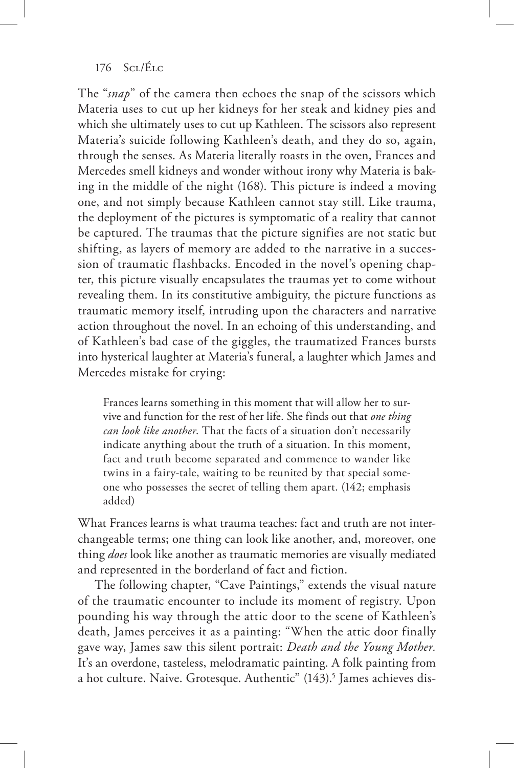The "*snap*" of the camera then echoes the snap of the scissors which Materia uses to cut up her kidneys for her steak and kidney pies and which she ultimately uses to cut up Kathleen. The scissors also represent Materia's suicide following Kathleen's death, and they do so, again, through the senses. As Materia literally roasts in the oven, Frances and Mercedes smell kidneys and wonder without irony why Materia is baking in the middle of the night (168). This picture is indeed a moving one, and not simply because Kathleen cannot stay still. Like trauma, the deployment of the pictures is symptomatic of a reality that cannot be captured. The traumas that the picture signifies are not static but shifting, as layers of memory are added to the narrative in a succession of traumatic flashbacks. Encoded in the novel's opening chapter, this picture visually encapsulates the traumas yet to come without revealing them. In its constitutive ambiguity, the picture functions as traumatic memory itself, intruding upon the characters and narrative action throughout the novel. In an echoing of this understanding, and of Kathleen's bad case of the giggles, the traumatized Frances bursts into hysterical laughter at Materia's funeral, a laughter which James and Mercedes mistake for crying:

Frances learns something in this moment that will allow her to survive and function for the rest of her life. She finds out that *one thing can look like another*. That the facts of a situation don't necessarily indicate anything about the truth of a situation. In this moment, fact and truth become separated and commence to wander like twins in a fairy-tale, waiting to be reunited by that special someone who possesses the secret of telling them apart. (142; emphasis added)

What Frances learns is what trauma teaches: fact and truth are not interchangeable terms; one thing can look like another, and, moreover, one thing *does* look like another as traumatic memories are visually mediated and represented in the borderland of fact and fiction.

The following chapter, "Cave Paintings," extends the visual nature of the traumatic encounter to include its moment of registry. Upon pounding his way through the attic door to the scene of Kathleen's death, James perceives it as a painting: "When the attic door finally gave way, James saw this silent portrait: *Death and the Young Mother.* It's an overdone, tasteless, melodramatic painting. A folk painting from a hot culture. Naive. Grotesque. Authentic" (143).<sup>5</sup> James achieves dis-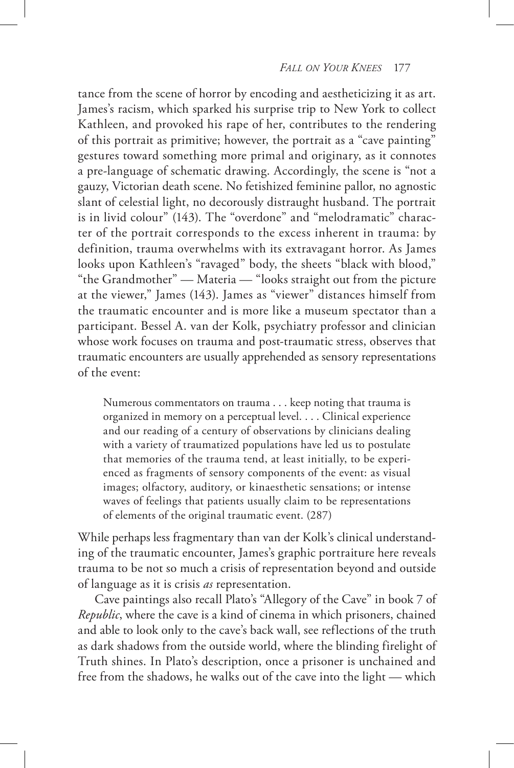tance from the scene of horror by encoding and aestheticizing it as art. James's racism, which sparked his surprise trip to New York to collect Kathleen, and provoked his rape of her, contributes to the rendering of this portrait as primitive; however, the portrait as a "cave painting" gestures toward something more primal and originary, as it connotes a pre-language of schematic drawing. Accordingly, the scene is "not a gauzy, Victorian death scene. No fetishized feminine pallor, no agnostic slant of celestial light, no decorously distraught husband. The portrait is in livid colour" (143). The "overdone" and "melodramatic" character of the portrait corresponds to the excess inherent in trauma: by definition, trauma overwhelms with its extravagant horror. As James looks upon Kathleen's "ravaged" body, the sheets "black with blood," "the Grandmother" — Materia — "looks straight out from the picture at the viewer," James (143). James as "viewer" distances himself from the traumatic encounter and is more like a museum spectator than a participant. Bessel A. van der Kolk, psychiatry professor and clinician whose work focuses on trauma and post-traumatic stress, observes that traumatic encounters are usually apprehended as sensory representations of the event:

Numerous commentators on trauma . . . keep noting that trauma is organized in memory on a perceptual level. . . . Clinical experience and our reading of a century of observations by clinicians dealing with a variety of traumatized populations have led us to postulate that memories of the trauma tend, at least initially, to be experienced as fragments of sensory components of the event: as visual images; olfactory, auditory, or kinaesthetic sensations; or intense waves of feelings that patients usually claim to be representations of elements of the original traumatic event. (287)

While perhaps less fragmentary than van der Kolk's clinical understanding of the traumatic encounter, James's graphic portraiture here reveals trauma to be not so much a crisis of representation beyond and outside of language as it is crisis *as* representation.

Cave paintings also recall Plato's "Allegory of the Cave" in book 7 of *Republic*, where the cave is a kind of cinema in which prisoners, chained and able to look only to the cave's back wall, see reflections of the truth as dark shadows from the outside world, where the blinding firelight of Truth shines. In Plato's description, once a prisoner is unchained and free from the shadows, he walks out of the cave into the light — which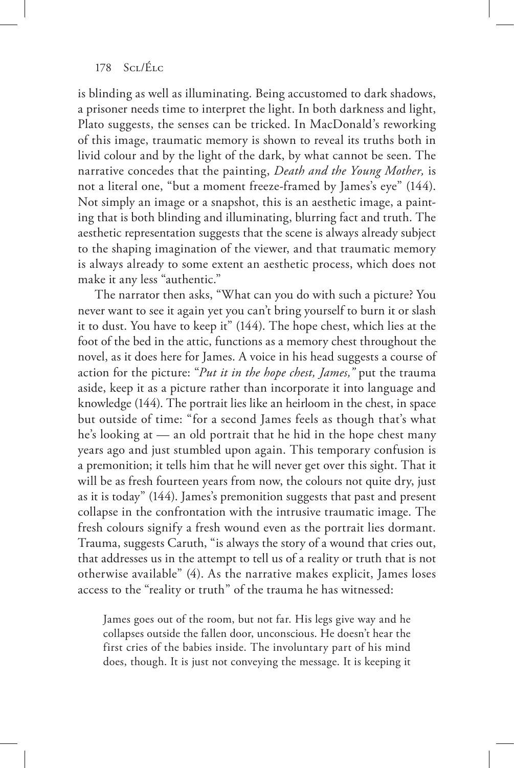is blinding as well as illuminating. Being accustomed to dark shadows, a prisoner needs time to interpret the light. In both darkness and light, Plato suggests, the senses can be tricked. In MacDonald's reworking of this image, traumatic memory is shown to reveal its truths both in livid colour and by the light of the dark, by what cannot be seen. The narrative concedes that the painting, *Death and the Young Mother,* is not a literal one, "but a moment freeze-framed by James's eye" (144). Not simply an image or a snapshot, this is an aesthetic image, a painting that is both blinding and illuminating, blurring fact and truth. The aesthetic representation suggests that the scene is always already subject to the shaping imagination of the viewer, and that traumatic memory is always already to some extent an aesthetic process, which does not make it any less "authentic."

The narrator then asks, "What can you do with such a picture? You never want to see it again yet you can't bring yourself to burn it or slash it to dust. You have to keep it" (144). The hope chest, which lies at the foot of the bed in the attic, functions as a memory chest throughout the novel, as it does here for James. A voice in his head suggests a course of action for the picture: "*Put it in the hope chest, James,"* put the trauma aside, keep it as a picture rather than incorporate it into language and knowledge (144). The portrait lies like an heirloom in the chest, in space but outside of time: "for a second James feels as though that's what he's looking at — an old portrait that he hid in the hope chest many years ago and just stumbled upon again. This temporary confusion is a premonition; it tells him that he will never get over this sight. That it will be as fresh fourteen years from now, the colours not quite dry, just as it is today" (144). James's premonition suggests that past and present collapse in the confrontation with the intrusive traumatic image. The fresh colours signify a fresh wound even as the portrait lies dormant. Trauma, suggests Caruth, "is always the story of a wound that cries out, that addresses us in the attempt to tell us of a reality or truth that is not otherwise available" (4). As the narrative makes explicit, James loses access to the "reality or truth" of the trauma he has witnessed:

James goes out of the room, but not far. His legs give way and he collapses outside the fallen door, unconscious. He doesn't hear the first cries of the babies inside. The involuntary part of his mind does, though. It is just not conveying the message. It is keeping it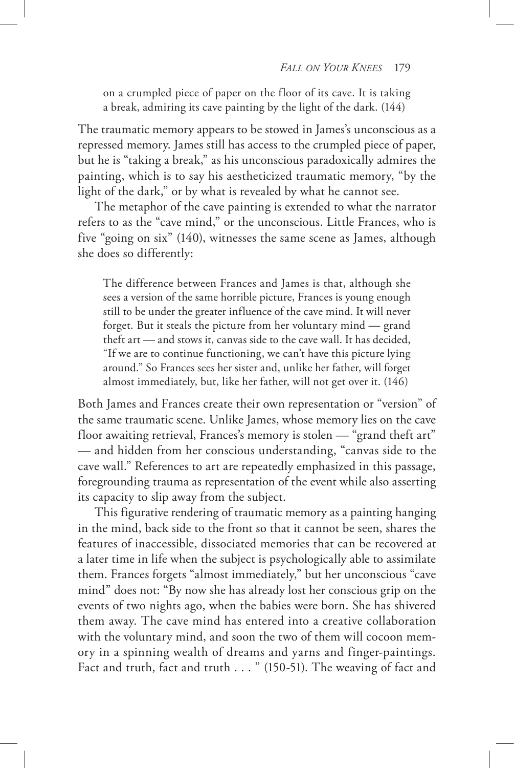on a crumpled piece of paper on the floor of its cave. It is taking a break, admiring its cave painting by the light of the dark. (144)

The traumatic memory appears to be stowed in James's unconscious as a repressed memory. James still has access to the crumpled piece of paper, but he is "taking a break," as his unconscious paradoxically admires the painting, which is to say his aestheticized traumatic memory, "by the light of the dark," or by what is revealed by what he cannot see.

The metaphor of the cave painting is extended to what the narrator refers to as the "cave mind," or the unconscious. Little Frances, who is five "going on six" (140), witnesses the same scene as James, although she does so differently:

The difference between Frances and James is that, although she sees a version of the same horrible picture, Frances is young enough still to be under the greater influence of the cave mind. It will never forget. But it steals the picture from her voluntary mind — grand theft art — and stows it, canvas side to the cave wall. It has decided, "If we are to continue functioning, we can't have this picture lying around." So Frances sees her sister and, unlike her father, will forget almost immediately, but, like her father, will not get over it. (146)

Both James and Frances create their own representation or "version" of the same traumatic scene. Unlike James, whose memory lies on the cave floor awaiting retrieval, Frances's memory is stolen — "grand theft art" — and hidden from her conscious understanding, "canvas side to the cave wall." References to art are repeatedly emphasized in this passage, foregrounding trauma as representation of the event while also asserting its capacity to slip away from the subject.

This figurative rendering of traumatic memory as a painting hanging in the mind, back side to the front so that it cannot be seen, shares the features of inaccessible, dissociated memories that can be recovered at a later time in life when the subject is psychologically able to assimilate them. Frances forgets "almost immediately," but her unconscious "cave mind" does not: "By now she has already lost her conscious grip on the events of two nights ago, when the babies were born. She has shivered them away. The cave mind has entered into a creative collaboration with the voluntary mind, and soon the two of them will cocoon memory in a spinning wealth of dreams and yarns and finger-paintings. Fact and truth, fact and truth . . . " (150-51). The weaving of fact and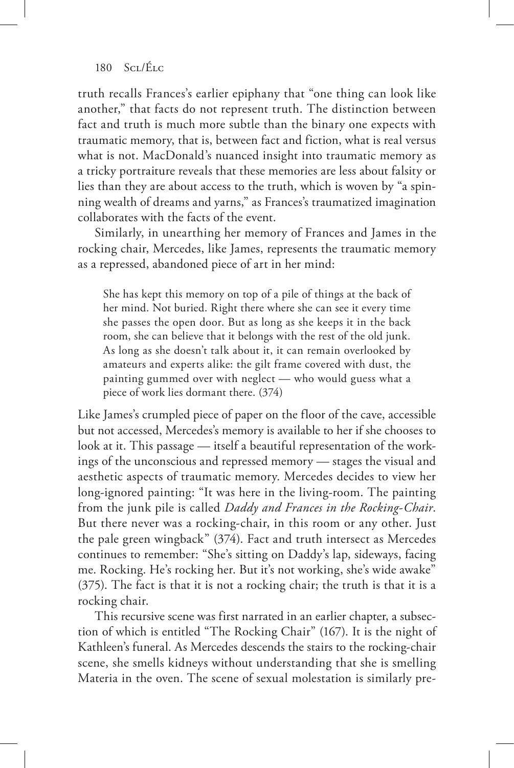truth recalls Frances's earlier epiphany that "one thing can look like another," that facts do not represent truth. The distinction between fact and truth is much more subtle than the binary one expects with traumatic memory, that is, between fact and fiction, what is real versus what is not. MacDonald's nuanced insight into traumatic memory as a tricky portraiture reveals that these memories are less about falsity or lies than they are about access to the truth, which is woven by "a spinning wealth of dreams and yarns," as Frances's traumatized imagination collaborates with the facts of the event.

Similarly, in unearthing her memory of Frances and James in the rocking chair, Mercedes, like James, represents the traumatic memory as a repressed, abandoned piece of art in her mind:

She has kept this memory on top of a pile of things at the back of her mind. Not buried. Right there where she can see it every time she passes the open door. But as long as she keeps it in the back room, she can believe that it belongs with the rest of the old junk. As long as she doesn't talk about it, it can remain overlooked by amateurs and experts alike: the gilt frame covered with dust, the painting gummed over with neglect — who would guess what a piece of work lies dormant there. (374)

Like James's crumpled piece of paper on the floor of the cave, accessible but not accessed, Mercedes's memory is available to her if she chooses to look at it. This passage — itself a beautiful representation of the workings of the unconscious and repressed memory — stages the visual and aesthetic aspects of traumatic memory. Mercedes decides to view her long-ignored painting: "It was here in the living-room. The painting from the junk pile is called *Daddy and Frances in the Rocking-Chair*. But there never was a rocking-chair, in this room or any other. Just the pale green wingback" (374). Fact and truth intersect as Mercedes continues to remember: "She's sitting on Daddy's lap, sideways, facing me. Rocking. He's rocking her. But it's not working, she's wide awake" (375). The fact is that it is not a rocking chair; the truth is that it is a rocking chair.

This recursive scene was first narrated in an earlier chapter, a subsection of which is entitled "The Rocking Chair" (167). It is the night of Kathleen's funeral. As Mercedes descends the stairs to the rocking-chair scene, she smells kidneys without understanding that she is smelling Materia in the oven. The scene of sexual molestation is similarly pre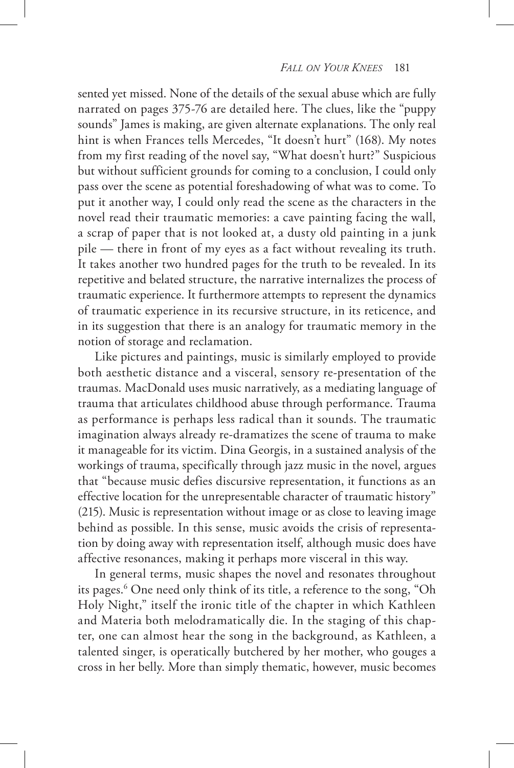sented yet missed. None of the details of the sexual abuse which are fully narrated on pages 375-76 are detailed here. The clues, like the "puppy sounds" James is making, are given alternate explanations. The only real hint is when Frances tells Mercedes, "It doesn't hurt" (168). My notes from my first reading of the novel say, "What doesn't hurt?" Suspicious but without sufficient grounds for coming to a conclusion, I could only pass over the scene as potential foreshadowing of what was to come. To put it another way, I could only read the scene as the characters in the novel read their traumatic memories: a cave painting facing the wall, a scrap of paper that is not looked at, a dusty old painting in a junk pile — there in front of my eyes as a fact without revealing its truth. It takes another two hundred pages for the truth to be revealed. In its repetitive and belated structure, the narrative internalizes the process of traumatic experience. It furthermore attempts to represent the dynamics of traumatic experience in its recursive structure, in its reticence, and in its suggestion that there is an analogy for traumatic memory in the notion of storage and reclamation.

Like pictures and paintings, music is similarly employed to provide both aesthetic distance and a visceral, sensory re-presentation of the traumas. MacDonald uses music narratively, as a mediating language of trauma that articulates childhood abuse through performance. Trauma as performance is perhaps less radical than it sounds. The traumatic imagination always already re-dramatizes the scene of trauma to make it manageable for its victim. Dina Georgis, in a sustained analysis of the workings of trauma, specifically through jazz music in the novel, argues that "because music defies discursive representation, it functions as an effective location for the unrepresentable character of traumatic history" (215). Music is representation without image or as close to leaving image behind as possible. In this sense, music avoids the crisis of representation by doing away with representation itself, although music does have affective resonances, making it perhaps more visceral in this way.

In general terms, music shapes the novel and resonates throughout its pages.6 One need only think of its title, a reference to the song, "Oh Holy Night," itself the ironic title of the chapter in which Kathleen and Materia both melodramatically die. In the staging of this chapter, one can almost hear the song in the background, as Kathleen, a talented singer, is operatically butchered by her mother, who gouges a cross in her belly. More than simply thematic, however, music becomes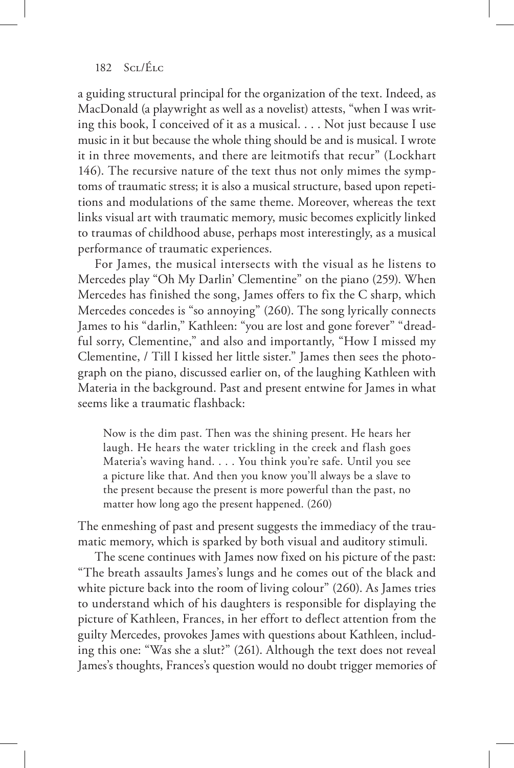a guiding structural principal for the organization of the text. Indeed, as MacDonald (a playwright as well as a novelist) attests, "when I was writing this book, I conceived of it as a musical. . . . Not just because I use music in it but because the whole thing should be and is musical. I wrote it in three movements, and there are leitmotifs that recur" (Lockhart 146). The recursive nature of the text thus not only mimes the symptoms of traumatic stress; it is also a musical structure, based upon repetitions and modulations of the same theme. Moreover, whereas the text links visual art with traumatic memory, music becomes explicitly linked to traumas of childhood abuse, perhaps most interestingly, as a musical performance of traumatic experiences.

For James, the musical intersects with the visual as he listens to Mercedes play "Oh My Darlin' Clementine" on the piano (259). When Mercedes has finished the song, James offers to fix the C sharp, which Mercedes concedes is "so annoying" (260). The song lyrically connects James to his "darlin," Kathleen: "you are lost and gone forever" "dreadful sorry, Clementine," and also and importantly, "How I missed my Clementine, / Till I kissed her little sister." James then sees the photograph on the piano, discussed earlier on, of the laughing Kathleen with Materia in the background. Past and present entwine for James in what seems like a traumatic flashback:

Now is the dim past. Then was the shining present. He hears her laugh. He hears the water trickling in the creek and flash goes Materia's waving hand. . . . You think you're safe. Until you see a picture like that. And then you know you'll always be a slave to the present because the present is more powerful than the past, no matter how long ago the present happened. (260)

The enmeshing of past and present suggests the immediacy of the traumatic memory, which is sparked by both visual and auditory stimuli.

The scene continues with James now fixed on his picture of the past: "The breath assaults James's lungs and he comes out of the black and white picture back into the room of living colour" (260). As James tries to understand which of his daughters is responsible for displaying the picture of Kathleen, Frances, in her effort to deflect attention from the guilty Mercedes, provokes James with questions about Kathleen, including this one: "Was she a slut?" (261). Although the text does not reveal James's thoughts, Frances's question would no doubt trigger memories of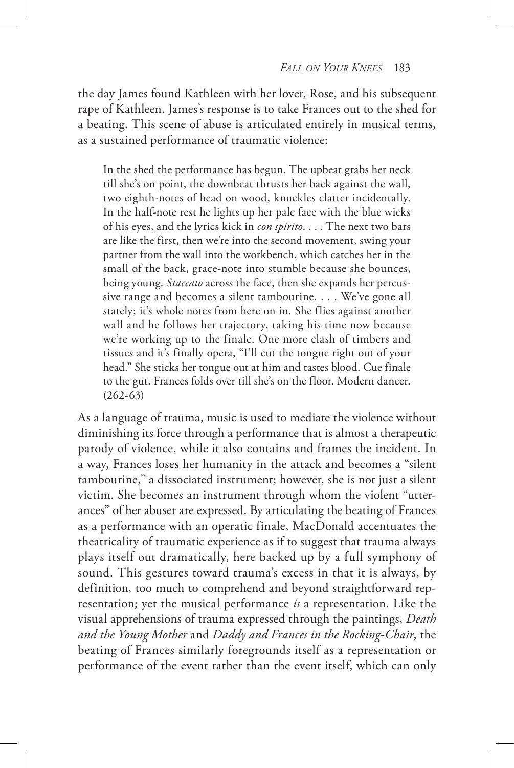the day James found Kathleen with her lover, Rose, and his subsequent rape of Kathleen. James's response is to take Frances out to the shed for a beating. This scene of abuse is articulated entirely in musical terms, as a sustained performance of traumatic violence:

In the shed the performance has begun. The upbeat grabs her neck till she's on point, the downbeat thrusts her back against the wall, two eighth-notes of head on wood, knuckles clatter incidentally. In the half-note rest he lights up her pale face with the blue wicks of his eyes, and the lyrics kick in *con spirito*. . . . The next two bars are like the first, then we're into the second movement, swing your partner from the wall into the workbench, which catches her in the small of the back, grace-note into stumble because she bounces, being young. *Staccato* across the face, then she expands her percussive range and becomes a silent tambourine. . . . We've gone all stately; it's whole notes from here on in. She flies against another wall and he follows her trajectory, taking his time now because we're working up to the finale. One more clash of timbers and tissues and it's finally opera, "I'll cut the tongue right out of your head." She sticks her tongue out at him and tastes blood. Cue finale to the gut. Frances folds over till she's on the floor. Modern dancer. (262-63)

As a language of trauma, music is used to mediate the violence without diminishing its force through a performance that is almost a therapeutic parody of violence, while it also contains and frames the incident. In a way, Frances loses her humanity in the attack and becomes a "silent tambourine," a dissociated instrument; however, she is not just a silent victim. She becomes an instrument through whom the violent "utterances" of her abuser are expressed. By articulating the beating of Frances as a performance with an operatic finale, MacDonald accentuates the theatricality of traumatic experience as if to suggest that trauma always plays itself out dramatically, here backed up by a full symphony of sound. This gestures toward trauma's excess in that it is always, by definition, too much to comprehend and beyond straightforward representation; yet the musical performance *is* a representation. Like the visual apprehensions of trauma expressed through the paintings, *Death and the Young Mother* and *Daddy and Frances in the Rocking-Chair*, the beating of Frances similarly foregrounds itself as a representation or performance of the event rather than the event itself, which can only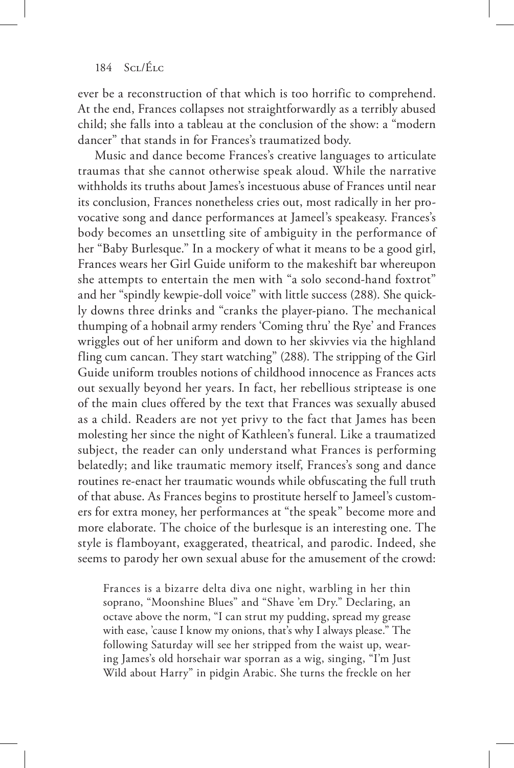## $184$  Sci/Élc

ever be a reconstruction of that which is too horrific to comprehend. At the end, Frances collapses not straightforwardly as a terribly abused child; she falls into a tableau at the conclusion of the show: a "modern dancer" that stands in for Frances's traumatized body.

Music and dance become Frances's creative languages to articulate traumas that she cannot otherwise speak aloud. While the narrative withholds its truths about James's incestuous abuse of Frances until near its conclusion, Frances nonetheless cries out, most radically in her provocative song and dance performances at Jameel's speakeasy. Frances's body becomes an unsettling site of ambiguity in the performance of her "Baby Burlesque." In a mockery of what it means to be a good girl, Frances wears her Girl Guide uniform to the makeshift bar whereupon she attempts to entertain the men with "a solo second-hand foxtrot" and her "spindly kewpie-doll voice" with little success (288). She quickly downs three drinks and "cranks the player-piano. The mechanical thumping of a hobnail army renders 'Coming thru' the Rye' and Frances wriggles out of her uniform and down to her skivvies via the highland fling cum cancan. They start watching" (288). The stripping of the Girl Guide uniform troubles notions of childhood innocence as Frances acts out sexually beyond her years. In fact, her rebellious striptease is one of the main clues offered by the text that Frances was sexually abused as a child. Readers are not yet privy to the fact that James has been molesting her since the night of Kathleen's funeral. Like a traumatized subject, the reader can only understand what Frances is performing belatedly; and like traumatic memory itself, Frances's song and dance routines re-enact her traumatic wounds while obfuscating the full truth of that abuse. As Frances begins to prostitute herself to Jameel's customers for extra money, her performances at "the speak" become more and more elaborate. The choice of the burlesque is an interesting one. The style is flamboyant, exaggerated, theatrical, and parodic. Indeed, she seems to parody her own sexual abuse for the amusement of the crowd:

Frances is a bizarre delta diva one night, warbling in her thin soprano, "Moonshine Blues" and "Shave 'em Dry." Declaring, an octave above the norm, "I can strut my pudding, spread my grease with ease, 'cause I know my onions, that's why I always please." The following Saturday will see her stripped from the waist up, wearing James's old horsehair war sporran as a wig, singing, "I'm Just Wild about Harry" in pidgin Arabic. She turns the freckle on her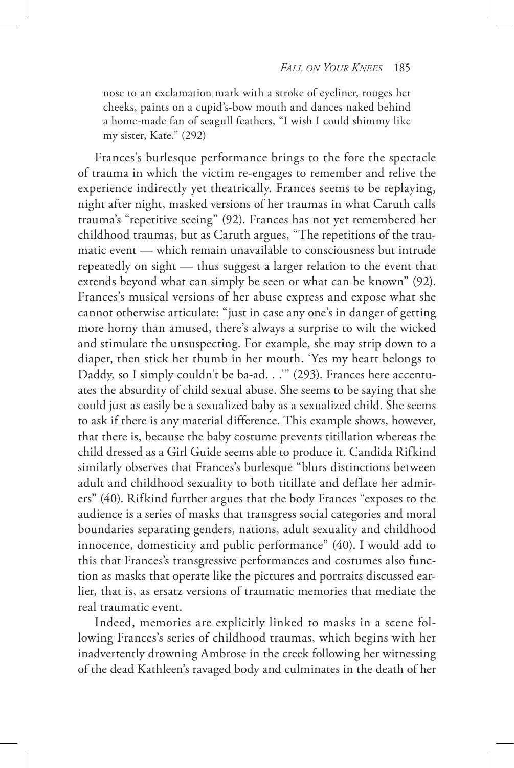nose to an exclamation mark with a stroke of eyeliner, rouges her cheeks, paints on a cupid's-bow mouth and dances naked behind a home-made fan of seagull feathers, "I wish I could shimmy like my sister, Kate." (292)

Frances's burlesque performance brings to the fore the spectacle of trauma in which the victim re-engages to remember and relive the experience indirectly yet theatrically. Frances seems to be replaying, night after night, masked versions of her traumas in what Caruth calls trauma's "repetitive seeing" (92). Frances has not yet remembered her childhood traumas, but as Caruth argues, "The repetitions of the traumatic event — which remain unavailable to consciousness but intrude repeatedly on sight — thus suggest a larger relation to the event that extends beyond what can simply be seen or what can be known" (92). Frances's musical versions of her abuse express and expose what she cannot otherwise articulate: "just in case any one's in danger of getting more horny than amused, there's always a surprise to wilt the wicked and stimulate the unsuspecting. For example, she may strip down to a diaper, then stick her thumb in her mouth. 'Yes my heart belongs to Daddy, so I simply couldn't be ba-ad. . .'" (293). Frances here accentuates the absurdity of child sexual abuse. She seems to be saying that she could just as easily be a sexualized baby as a sexualized child. She seems to ask if there is any material difference. This example shows, however, that there is, because the baby costume prevents titillation whereas the child dressed as a Girl Guide seems able to produce it. Candida Rifkind similarly observes that Frances's burlesque "blurs distinctions between adult and childhood sexuality to both titillate and deflate her admirers" (40). Rifkind further argues that the body Frances "exposes to the audience is a series of masks that transgress social categories and moral boundaries separating genders, nations, adult sexuality and childhood innocence, domesticity and public performance" (40). I would add to this that Frances's transgressive performances and costumes also function as masks that operate like the pictures and portraits discussed earlier, that is, as ersatz versions of traumatic memories that mediate the real traumatic event.

Indeed, memories are explicitly linked to masks in a scene following Frances's series of childhood traumas, which begins with her inadvertently drowning Ambrose in the creek following her witnessing of the dead Kathleen's ravaged body and culminates in the death of her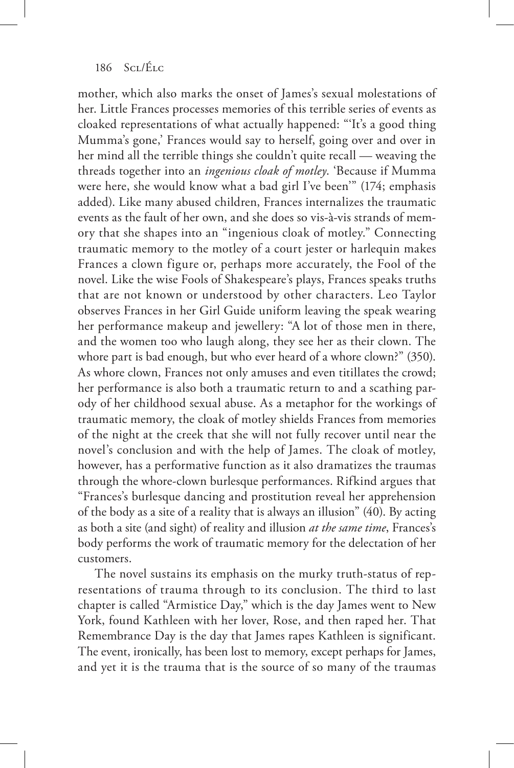mother, which also marks the onset of James's sexual molestations of her. Little Frances processes memories of this terrible series of events as cloaked representations of what actually happened: "'It's a good thing Mumma's gone,' Frances would say to herself, going over and over in her mind all the terrible things she couldn't quite recall — weaving the threads together into an *ingenious cloak of motley*. 'Because if Mumma were here, she would know what a bad girl I've been'" (174; emphasis added). Like many abused children, Frances internalizes the traumatic events as the fault of her own, and she does so vis-à-vis strands of memory that she shapes into an "ingenious cloak of motley." Connecting traumatic memory to the motley of a court jester or harlequin makes Frances a clown figure or, perhaps more accurately, the Fool of the novel. Like the wise Fools of Shakespeare's plays, Frances speaks truths that are not known or understood by other characters. Leo Taylor observes Frances in her Girl Guide uniform leaving the speak wearing her performance makeup and jewellery: "A lot of those men in there, and the women too who laugh along, they see her as their clown. The whore part is bad enough, but who ever heard of a whore clown?" (350). As whore clown, Frances not only amuses and even titillates the crowd; her performance is also both a traumatic return to and a scathing parody of her childhood sexual abuse. As a metaphor for the workings of traumatic memory, the cloak of motley shields Frances from memories of the night at the creek that she will not fully recover until near the novel's conclusion and with the help of James. The cloak of motley, however, has a performative function as it also dramatizes the traumas through the whore-clown burlesque performances. Rifkind argues that "Frances's burlesque dancing and prostitution reveal her apprehension of the body as a site of a reality that is always an illusion" (40). By acting as both a site (and sight) of reality and illusion *at the same time*, Frances's body performs the work of traumatic memory for the delectation of her customers.

The novel sustains its emphasis on the murky truth-status of representations of trauma through to its conclusion. The third to last chapter is called "Armistice Day," which is the day James went to New York, found Kathleen with her lover, Rose, and then raped her. That Remembrance Day is the day that James rapes Kathleen is significant. The event, ironically, has been lost to memory, except perhaps for James, and yet it is the trauma that is the source of so many of the traumas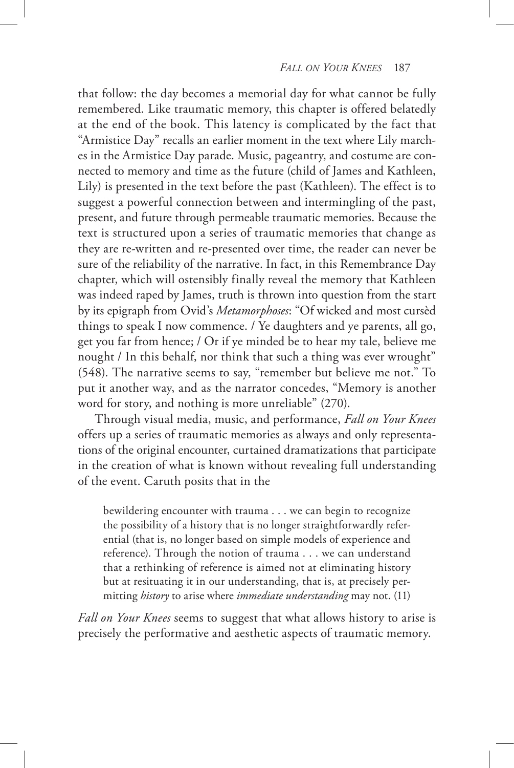that follow: the day becomes a memorial day for what cannot be fully remembered. Like traumatic memory, this chapter is offered belatedly at the end of the book. This latency is complicated by the fact that "Armistice Day" recalls an earlier moment in the text where Lily marches in the Armistice Day parade. Music, pageantry, and costume are connected to memory and time as the future (child of James and Kathleen, Lily) is presented in the text before the past (Kathleen). The effect is to suggest a powerful connection between and intermingling of the past, present, and future through permeable traumatic memories. Because the text is structured upon a series of traumatic memories that change as they are re-written and re-presented over time, the reader can never be sure of the reliability of the narrative. In fact, in this Remembrance Day chapter, which will ostensibly finally reveal the memory that Kathleen was indeed raped by James, truth is thrown into question from the start by its epigraph from Ovid's *Metamorphoses*: "Of wicked and most cursèd things to speak I now commence. / Ye daughters and ye parents, all go, get you far from hence; / Or if ye minded be to hear my tale, believe me nought / In this behalf, nor think that such a thing was ever wrought" (548). The narrative seems to say, "remember but believe me not." To put it another way, and as the narrator concedes, "Memory is another word for story, and nothing is more unreliable" (270).

Through visual media, music, and performance, *Fall on Your Knees*  offers up a series of traumatic memories as always and only representations of the original encounter, curtained dramatizations that participate in the creation of what is known without revealing full understanding of the event. Caruth posits that in the

bewildering encounter with trauma . . . we can begin to recognize the possibility of a history that is no longer straightforwardly referential (that is, no longer based on simple models of experience and reference). Through the notion of trauma . . . we can understand that a rethinking of reference is aimed not at eliminating history but at resituating it in our understanding, that is, at precisely permitting *history* to arise where *immediate understanding* may not. (11)

*Fall on Your Knees* seems to suggest that what allows history to arise is precisely the performative and aesthetic aspects of traumatic memory.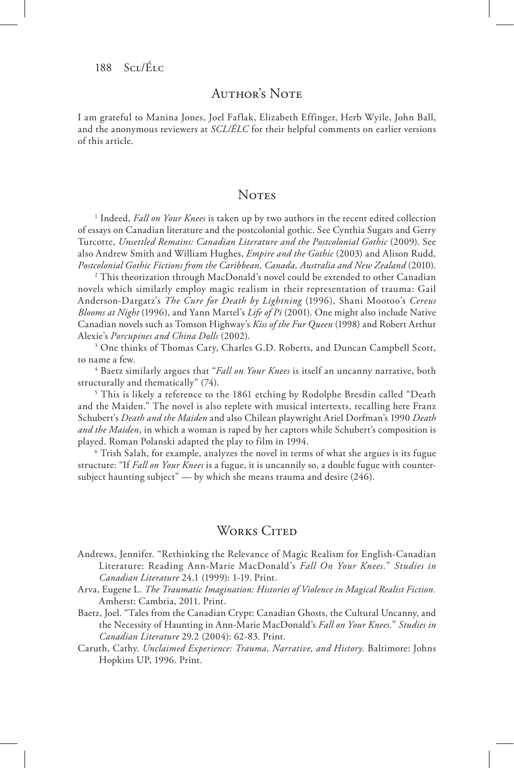# AUTHOR'S NOTE

I am grateful to Manina Jones, Joel Faflak, Elizabeth Effinger, Herb Wyile, John Ball, and the anonymous reviewers at *SCL/ÉLC* for their helpful comments on earlier versions of this article.

# **NOTES**

<sup>1</sup> Indeed, *Fall on Your Knees* is taken up by two authors in the recent edited collection of essays on Canadian literature and the postcolonial gothic. See Cynthia Sugars and Gerry Turcotte, *Unsettled Remains: Canadian Literature and the Postcolonial Gothic* (2009). See also Andrew Smith and William Hughes, *Empire and the Gothic* (2003) and Alison Rudd, *Postcolonial Gothic Fictions from the Caribbean, Canada, Australia and New Zealand* (2010).

<sup>2</sup> This theorization through MacDonald's novel could be extended to other Canadian novels which similarly employ magic realism in their representation of trauma: Gail Anderson-Dargatz's *The Cure for Death by Lightning* (1996), Shani Mootoo's *Cereus Blooms at Night* (1996), and Yann Martel's *Life of Pi* (2001). One might also include Native Canadian novels such as Tomson Highway's *Kiss of the Fur Queen* (1998) and Robert Arthur Alexie's *Porcupines and China Dolls* (2002).

<sup>3</sup> One thinks of Thomas Cary, Charles G.D. Roberts, and Duncan Campbell Scott, to name a few.

4 Baetz similarly argues that "*Fall on Your Knees* is itself an uncanny narrative, both structurally and thematically" (74).

5 This is likely a reference to the 1861 etching by Rodolphe Bresdin called "Death and the Maiden." The novel is also replete with musical intertexts, recalling here Franz Schubert's *Death and the Maiden* and also Chilean playwright Ariel Dorfman's 1990 *Death and the Maiden*, in which a woman is raped by her captors while Schubert's composition is played. Roman Polanski adapted the play to film in 1994.

<sup>6</sup> Trish Salah, for example, analyzes the novel in terms of what she argues is its fugue structure: "If *Fall on Your Knees* is a fugue, it is uncannily so, a double fugue with countersubject haunting subject" — by which she means trauma and desire (246).

# WORKS CITED

Andrews, Jennifer. "Rethinking the Relevance of Magic Realism for English-Canadian Literature: Reading Ann-Marie MacDonald's *Fall On Your Knees.*" *Studies in Canadian Literature* 24.1 (1999): 1-19. Print.

- Arva, Eugene L. *The Traumatic Imagination: Histories of Violence in Magical Realist Fiction.* Amherst: Cambria, 2011. Print.
- Baetz, Joel. "Tales from the Canadian Crypt: Canadian Ghosts, the Cultural Uncanny, and the Necessity of Haunting in Ann-Marie MacDonald's *Fall on Your Knees.*" *Studies in Canadian Literature* 29.2 (2004): 62-83. Print.
- Caruth, Cathy. *Unclaimed Experience: Trauma, Narrative, and History.* Baltimore: Johns Hopkins UP, 1996. Print.